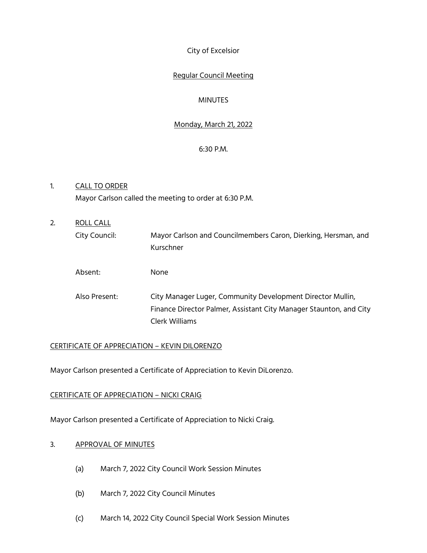City of Excelsior

# Regular Council Meeting

# **MINUTES**

# Monday, March 21, 2022

### 6:30 P.M.

- 1. CALL TO ORDER Mayor Carlson called the meeting to order at 6:30 P.M.
- 2. ROLL CALL City Council: Mayor Carlson and Councilmembers Caron, Dierking, Hersman, and Kurschner Absent: None Also Present: City Manager Luger, Community Development Director Mullin, Finance Director Palmer, Assistant City Manager Staunton, and City Clerk Williams

### CERTIFICATE OF APPRECIATION – KEVIN DILORENZO

Mayor Carlson presented a Certificate of Appreciation to Kevin DiLorenzo.

### CERTIFICATE OF APPRECIATION – NICKI CRAIG

Mayor Carlson presented a Certificate of Appreciation to Nicki Craig.

### 3. APPROVAL OF MINUTES

- (a) March 7, 2022 City Council Work Session Minutes
- (b) March 7, 2022 City Council Minutes
- (c) March 14, 2022 City Council Special Work Session Minutes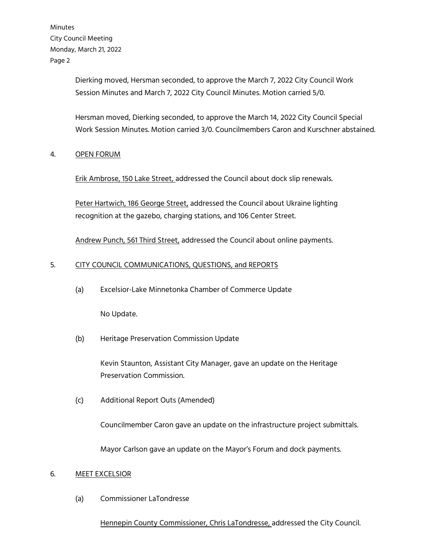> Dierking moved, Hersman seconded, to approve the March 7, 2022 City Council Work Session Minutes and March 7, 2022 City Council Minutes. Motion carried 5/0.

Hersman moved, Dierking seconded, to approve the March 14, 2022 City Council Special Work Session Minutes. Motion carried 3/0. Councilmembers Caron and Kurschner abstained.

### 4. OPEN FORUM

Erik Ambrose, 150 Lake Street, addressed the Council about dock slip renewals.

Peter Hartwich, 186 George Street, addressed the Council about Ukraine lighting recognition at the gazebo, charging stations, and 106 Center Street.

Andrew Punch, 561 Third Street, addressed the Council about online payments.

# 5. CITY COUNCIL COMMUNICATIONS, QUESTIONS, and REPORTS

(a) Excelsior-Lake Minnetonka Chamber of Commerce Update

No Update.

(b) Heritage Preservation Commission Update

Kevin Staunton, Assistant City Manager, gave an update on the Heritage Preservation Commission.

(c) Additional Report Outs (Amended)

Councilmember Caron gave an update on the infrastructure project submittals.

Mayor Carlson gave an update on the Mayor's Forum and dock payments.

### 6. MEET EXCELSIOR

(a) Commissioner LaTondresse

### Hennepin County Commissioner, Chris LaTondresse, addressed the City Council.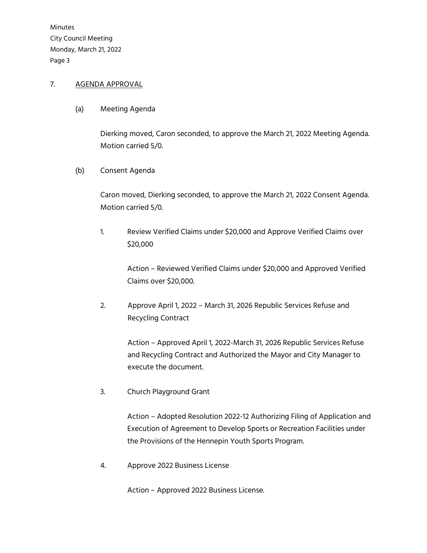# 7. AGENDA APPROVAL

(a) Meeting Agenda

Dierking moved, Caron seconded, to approve the March 21, 2022 Meeting Agenda. Motion carried 5/0.

(b) Consent Agenda

Caron moved, Dierking seconded, to approve the March 21, 2022 Consent Agenda. Motion carried 5/0.

1. Review Verified Claims under \$20,000 and Approve Verified Claims over \$20,000

> Action – Reviewed Verified Claims under \$20,000 and Approved Verified Claims over \$20,000.

2. Approve April 1, 2022 – March 31, 2026 Republic Services Refuse and Recycling Contract

> Action – Approved April 1, 2022-March 31, 2026 Republic Services Refuse and Recycling Contract and Authorized the Mayor and City Manager to execute the document.

3. Church Playground Grant

 Action – Adopted Resolution 2022-12 Authorizing Filing of Application and Execution of Agreement to Develop Sports or Recreation Facilities under the Provisions of the Hennepin Youth Sports Program.

4. Approve 2022 Business License

Action – Approved 2022 Business License.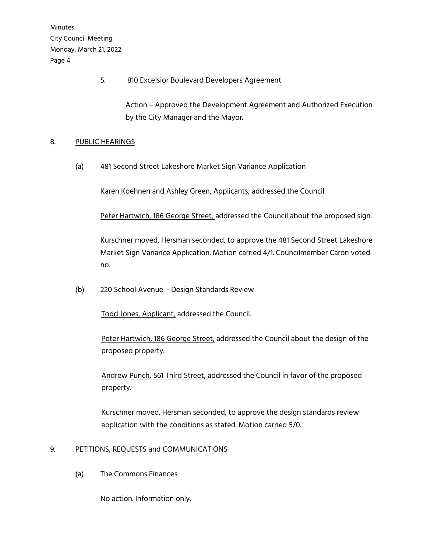5. 810 Excelsior Boulevard Developers Agreement

 Action – Approved the Development Agreement and Authorized Execution by the City Manager and the Mayor.

## 8. PUBLIC HEARINGS

(a) 481 Second Street Lakeshore Market Sign Variance Application

Karen Koehnen and Ashley Green, Applicants, addressed the Council.

Peter Hartwich, 186 George Street, addressed the Council about the proposed sign.

Kurschner moved, Hersman seconded, to approve the 481 Second Street Lakeshore Market Sign Variance Application. Motion carried 4/1. Councilmember Caron voted no.

(b) 220 School Avenue – Design Standards Review

Todd Jones, Applicant, addressed the Council.

 Peter Hartwich, 186 George Street, addressed the Council about the design of the proposed property.

 Andrew Punch, 561 Third Street, addressed the Council in favor of the proposed property.

 Kurschner moved, Hersman seconded, to approve the design standards review application with the conditions as stated. Motion carried 5/0.

# 9. PETITIONS, REQUESTS and COMMUNICATIONS

(a) The Commons Finances

No action. Information only.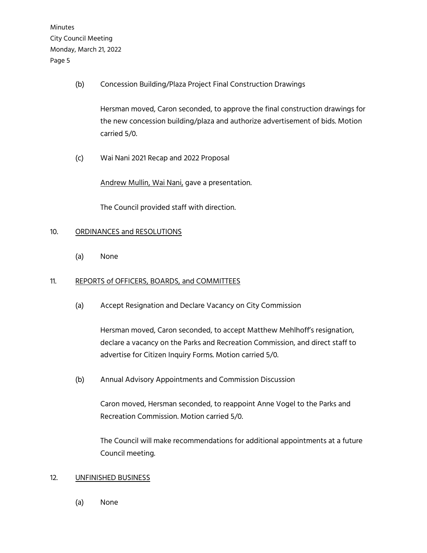(b) Concession Building/Plaza Project Final Construction Drawings

Hersman moved, Caron seconded, to approve the final construction drawings for the new concession building/plaza and authorize advertisement of bids. Motion carried 5/0.

(c) Wai Nani 2021 Recap and 2022 Proposal

Andrew Mullin, Wai Nani, gave a presentation.

The Council provided staff with direction.

### 10. ORDINANCES and RESOLUTIONS

(a) None

### 11. REPORTS of OFFICERS, BOARDS, and COMMITTEES

(a) Accept Resignation and Declare Vacancy on City Commission

Hersman moved, Caron seconded, to accept Matthew Mehlhoff's resignation, declare a vacancy on the Parks and Recreation Commission, and direct staff to advertise for Citizen Inquiry Forms. Motion carried 5/0.

(b) Annual Advisory Appointments and Commission Discussion

Caron moved, Hersman seconded, to reappoint Anne Vogel to the Parks and Recreation Commission. Motion carried 5/0.

The Council will make recommendations for additional appointments at a future Council meeting.

#### 12. UNFINISHED BUSINESS

(a) None